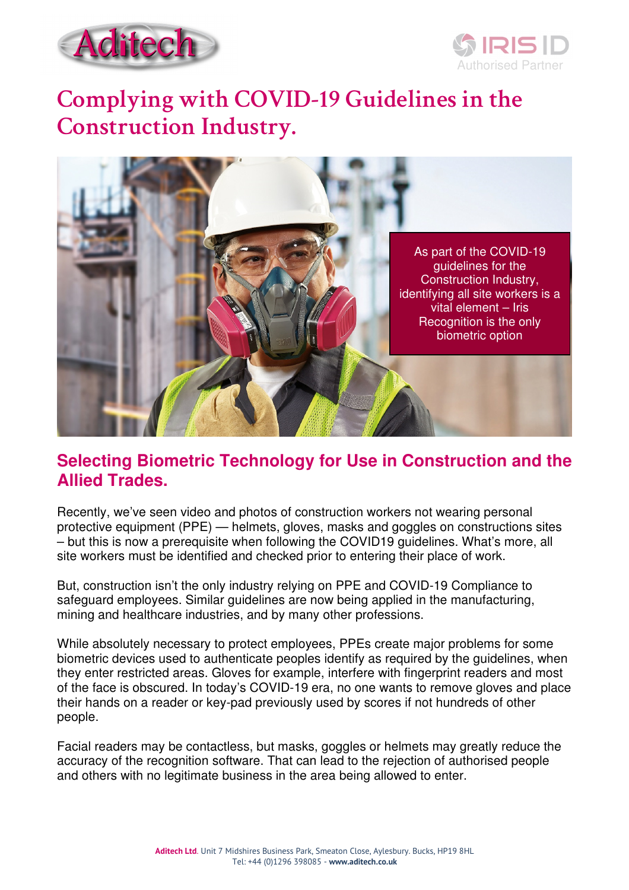



# **Complying with COVID-19 Guidelines in the Construction Industry.**



### **Selecting Biometric Technology for Use in Construction and the Allied Trades.**

Recently, we've seen video and photos of construction workers not wearing personal protective equipment (PPE) — helmets, gloves, masks and goggles on constructions sites – but this is now a prerequisite when following the COVID19 guidelines. What's more, all site workers must be identified and checked prior to entering their place of work.

But, construction isn't the only industry relying on PPE and COVID-19 Compliance to safeguard employees. Similar guidelines are now being applied in the manufacturing, mining and healthcare industries, and by many other professions.

While absolutely necessary to protect employees, PPEs create major problems for some biometric devices used to authenticate peoples identify as required by the guidelines, when they enter restricted areas. Gloves for example, interfere with fingerprint readers and most of the face is obscured. In today's COVID-19 era, no one wants to remove gloves and place their hands on a reader or key-pad previously used by scores if not hundreds of other people.

Facial readers may be contactless, but masks, goggles or helmets may greatly reduce the accuracy of the recognition software. That can lead to the rejection of authorised people and others with no legitimate business in the area being allowed to enter.